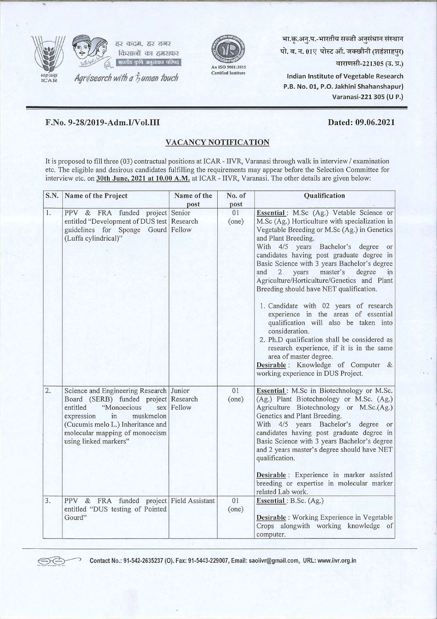



भा.कृ.अनु.प.-भारतीय सब्जी अनुसंधान संस्थान पो. ब. न. 01ए पोस्ट ऑ. जक्खीनी (शहंशाहपुर) वाराणसी-221305 (उ. प्र.)

Indian Institute of Vegetable Research P.B. No. 01, P.O. Jakhini Shahanshapur) Varanasi-221 305 (U P.)

## F.No. 9-28/2019-Adm.I/Vol.III

## Dated: 09.06.2021

## VACANCY NOTIFICATION

It is proposed to fill three (03) contractual positions at ICAR - IIVR, Varanasi through walk in interview / examination etc. The eligible and desirous candidates fulfilling the requirements may appear before the Selection Committee for interview etc. on 30th June, 2021 at 10.00 A.M. at ICAR - IIVR, Varanasi. The other details are given below:

| S.N. | Name of the Project                                                                                                                                                                                                                         | Name of the | No. of      | Qualification                                                                                                                                                                                                                                                                                                                                                                                                                                                                                                                                                                                                                                                                                                                                                                                                    |
|------|---------------------------------------------------------------------------------------------------------------------------------------------------------------------------------------------------------------------------------------------|-------------|-------------|------------------------------------------------------------------------------------------------------------------------------------------------------------------------------------------------------------------------------------------------------------------------------------------------------------------------------------------------------------------------------------------------------------------------------------------------------------------------------------------------------------------------------------------------------------------------------------------------------------------------------------------------------------------------------------------------------------------------------------------------------------------------------------------------------------------|
|      |                                                                                                                                                                                                                                             | post        | post        |                                                                                                                                                                                                                                                                                                                                                                                                                                                                                                                                                                                                                                                                                                                                                                                                                  |
| 1.   | PPV & FRA funded project Senior<br>entitled "Development of DUS test   Research<br>guidelines for Sponge Gourd Fellow<br>(Luffa cylindrical)"                                                                                               |             | 01<br>(one) | Essential: M.Sc (Ag.) Vetable Science or<br>M.Sc (Ag.) Horticulture with specialization in<br>Vegetable Breeding or M.Sc (Ag.) in Genetics<br>and Plant Breeding.<br>With 4/5 years Bachelor's degree<br>or<br>candidates having post graduate degree in<br>Basic Science with 3 years Bachelor's degree<br>master's<br>degree<br>and<br>$\overline{2}$<br>years<br>in<br>Agriculture/Horticulture/Genetics and Plant<br>Breeding should have NET qualification.<br>1. Candidate with 02 years of research<br>experience in the areas of essential<br>qualification will also be taken into<br>consideration.<br>2. Ph.D qualification shall be considered as<br>research experience, if it is in the same<br>area of master degree.<br>Desirable: Knowledge of Computer &<br>working experience in DUS Project. |
| 2.   | Science and Engineering Research Junior<br>Board (SERB) funded project Research<br>"Monoecious<br>entitled<br>expression<br>in<br>muskmelon<br>(Cucumis melo L.) Inheritance and<br>molecular mapping of monoecism<br>using linked markers" | sex Fellow  | 01<br>(one) | Essential: M.Sc in Biotechnology or M.Sc.<br>(Ag.) Plant Biotechnology or M.Sc. (Ag.)<br>Agriculture Biotechnology or M.Sc.(Ag.)<br>Genetics and Plant Breeding.<br>With 4/5 years Bachelor's degree<br><sub>or</sub><br>candidates having post graduate degree in<br>Basic Science with 3 years Bachelor's degree<br>and 2 years master's degree should have NET<br>qualification.<br>Desirable: Experience in marker assisted<br>breeding or expertise in molecular marker<br>related Lab work.                                                                                                                                                                                                                                                                                                                |
| 3.   | PPV & FRA funded project Field Assistant<br>entitled "DUS testing of Pointed<br>Gourd"                                                                                                                                                      |             | 01<br>(one) | Essential: B.Sc. (Ag.)<br>Desirable : Working Experience in Vegetable<br>Crops alongwith working knowledge of<br>computer.                                                                                                                                                                                                                                                                                                                                                                                                                                                                                                                                                                                                                                                                                       |



~----o Contact No.: 91-542-2635237 (0). Fax: 91-5443-229007, Email: saoiivr@gmail.com, URL: www.iivr.org.in